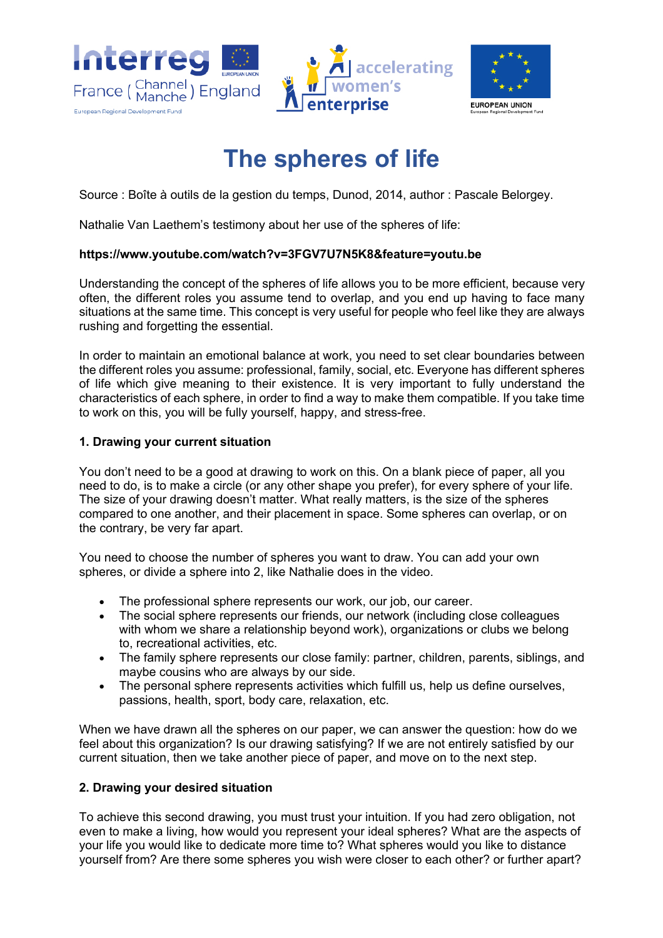



# **The spheres of life**

Source : Boîte à outils de la gestion du temps, Dunod, 2014, author : Pascale Belorgey.

Nathalie Van Laethem's testimony about her use of the spheres of life:

### **https://www.youtube.com/watch?v=3FGV7U7N5K8&feature=youtu.be**

Understanding the concept of the spheres of life allows you to be more efficient, because very often, the different roles you assume tend to overlap, and you end up having to face many situations at the same time. This concept is very useful for people who feel like they are always rushing and forgetting the essential.

In order to maintain an emotional balance at work, you need to set clear boundaries between the different roles you assume: professional, family, social, etc. Everyone has different spheres of life which give meaning to their existence. It is very important to fully understand the characteristics of each sphere, in order to find a way to make them compatible. If you take time to work on this, you will be fully yourself, happy, and stress-free.

# **1. Drawing your current situation**

You don't need to be a good at drawing to work on this. On a blank piece of paper, all you need to do, is to make a circle (or any other shape you prefer), for every sphere of your life. The size of your drawing doesn't matter. What really matters, is the size of the spheres compared to one another, and their placement in space. Some spheres can overlap, or on the contrary, be very far apart.

You need to choose the number of spheres you want to draw. You can add your own spheres, or divide a sphere into 2, like Nathalie does in the video.

- The professional sphere represents our work, our job, our career.
- The social sphere represents our friends, our network (including close colleagues with whom we share a relationship beyond work), organizations or clubs we belong to, recreational activities, etc.
- The family sphere represents our close family: partner, children, parents, siblings, and maybe cousins who are always by our side.
- The personal sphere represents activities which fulfill us, help us define ourselves, passions, health, sport, body care, relaxation, etc.

When we have drawn all the spheres on our paper, we can answer the question: how do we feel about this organization? Is our drawing satisfying? If we are not entirely satisfied by our current situation, then we take another piece of paper, and move on to the next step.

### **2. Drawing your desired situation**

To achieve this second drawing, you must trust your intuition. If you had zero obligation, not even to make a living, how would you represent your ideal spheres? What are the aspects of your life you would like to dedicate more time to? What spheres would you like to distance yourself from? Are there some spheres you wish were closer to each other? or further apart?